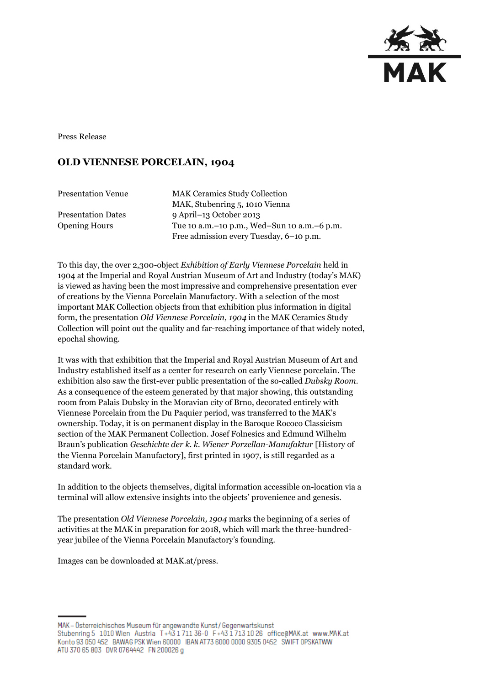

Press Release

## **OLD VIENNESE PORCELAIN, 1904**

| <b>Presentation Venue</b> | <b>MAK Ceramics Study Collection</b>                                                       |
|---------------------------|--------------------------------------------------------------------------------------------|
|                           | MAK, Stubenring 5, 1010 Vienna                                                             |
| <b>Presentation Dates</b> | 9 April–13 October 2013                                                                    |
| <b>Opening Hours</b>      | Tue 10 a.m. - 10 p.m., Wed-Sun 10 a.m. - 6 p.m.<br>Free admission every Tuesday, 6-10 p.m. |

To this day, the over 2,300-object *Exhibition of Early Viennese Porcelain* held in 1904 at the Imperial and Royal Austrian Museum of Art and Industry (today's MAK) is viewed as having been the most impressive and comprehensive presentation ever of creations by the Vienna Porcelain Manufactory. With a selection of the most important MAK Collection objects from that exhibition plus information in digital form, the presentation *Old Viennese Porcelain, 1904* in the MAK Ceramics Study Collection will point out the quality and far-reaching importance of that widely noted, epochal showing.

It was with that exhibition that the Imperial and Royal Austrian Museum of Art and Industry established itself as a center for research on early Viennese porcelain. The exhibition also saw the first-ever public presentation of the so-called *Dubsky Room*. As a consequence of the esteem generated by that major showing, this outstanding room from Palais Dubsky in the Moravian city of Brno, decorated entirely with Viennese Porcelain from the Du Paquier period, was transferred to the MAK's ownership. Today, it is on permanent display in the Baroque Rococo Classicism section of the MAK Permanent Collection. Josef Folnesics and Edmund Wilhelm Braun's publication *Geschichte der k. k. Wiener Porzellan-Manufaktur* [History of the Vienna Porcelain Manufactory], first printed in 1907, is still regarded as a standard work.

In addition to the objects themselves, digital information accessible on-location via a terminal will allow extensive insights into the objects' provenience and genesis.

The presentation *Old Viennese Porcelain, 1904* marks the beginning of a series of activities at the MAK in preparation for 2018, which will mark the three-hundredyear jubilee of the Vienna Porcelain Manufactory's founding.

Images can be downloaded at MAK.at/press.

MAK – Österreichisches Museum für angewandte Kunst/Gegenwartskunst Stubenring 5 1010 Wien Austria T+43 1711 36-0 F+43 1713 10 26 office@MAK.at www.MAK.at Konto 93 050 452 BAWAG PSK Wien 60000 IBAN AT73 6000 0000 9305 0452 SWIFT OPSKATWW ATU 370 65 803 DVR 0764442 FN 200026 g